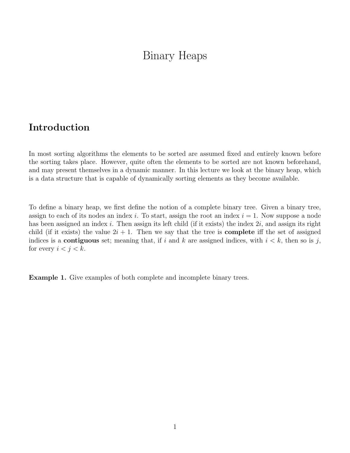# Binary Heaps

### Introduction

In most sorting algorithms the elements to be sorted are assumed fixed and entirely known before the sorting takes place. However, quite often the elements to be sorted are not known beforehand, and may present themselves in a dynamic manner. In this lecture we look at the binary heap, which is a data structure that is capable of dynamically sorting elements as they become available.

To define a binary heap, we first define the notion of a complete binary tree. Given a binary tree, assign to each of its nodes an index i. To start, assign the root an index  $i = 1$ . Now suppose a node has been assigned an index i. Then assign its left child (if it exists) the index  $2i$ , and assign its right child (if it exists) the value  $2i + 1$ . Then we say that the tree is **complete** iff the set of assigned indices is a **contiguous** set; meaning that, if i and k are assigned indices, with  $i < k$ , then so is j, for every  $i < j < k$ .

Example 1. Give examples of both complete and incomplete binary trees.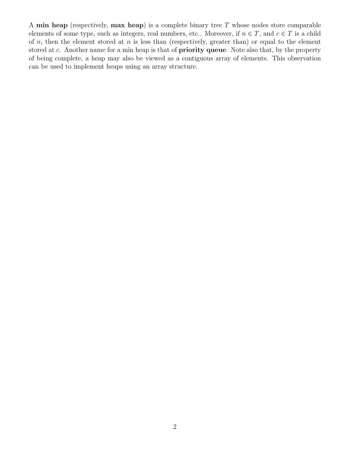A min heap (respectively, max heap) is a complete binary tree  $T$  whose nodes store comparable elements of some type, such as integers, real numbers, etc.. Moreover, if  $n \in T$ , and  $c \in T$  is a child of n, then the element stored at n is less than (respectively, greater than) or equal to the element stored at c. Another name for a min heap is that of **priority queue**. Note also that, by the property of being complete, a heap may also be viewed as a contiguous array of elements. This observation can be used to implement heaps using an array structure.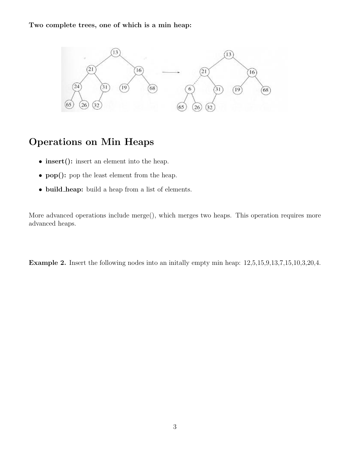#### Two complete trees, one of which is a min heap:



## Operations on Min Heaps

- insert(): insert an element into the heap.
- pop(): pop the least element from the heap.
- build heap: build a heap from a list of elements.

More advanced operations include merge(), which merges two heaps. This operation requires more advanced heaps.

Example 2. Insert the following nodes into an initially empty min heap:  $12,5,15,9,13,7,15,10,3,20,4$ .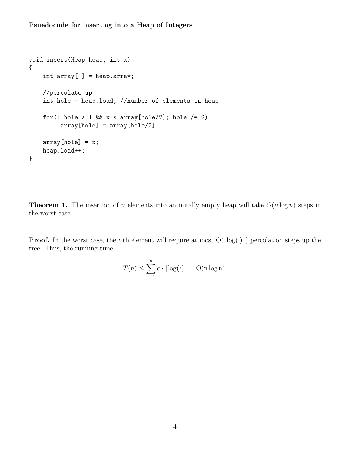```
void insert(Heap heap, int x)
{
    int array[] = heap.array;
    //percolate up
    int hole = heap.load; //number of elements in heap
    for(; hole > 1 && x < array[hole/2]; hole /= 2)
         array[hole] = array[hole/2];array[hole] = x;heap.load++;
}
```
**Theorem 1.** The insertion of n elements into an initially empty heap will take  $O(n \log n)$  steps in the worst-case.

**Proof.** In the worst case, the i th element will require at most  $O(\lceil \log(i) \rceil)$  percolation steps up the tree. Thus, the running time

$$
T(n) \le \sum_{i=1}^{n} c \cdot \lceil \log(i) \rceil = \mathrm{O}(\mathrm{n} \log \mathrm{n}).
$$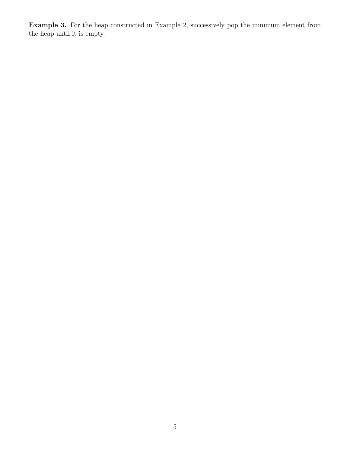Example 3. For the heap constructed in Example 2, successively pop the minimum element from the heap until it is empty.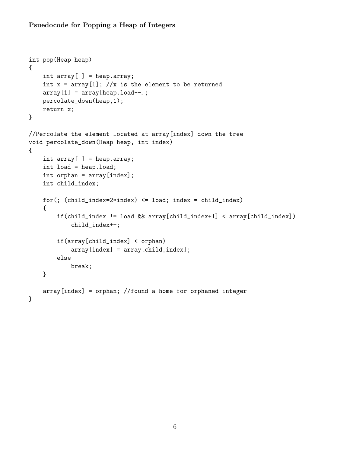#### Psuedocode for Popping a Heap of Integers

```
int pop(Heap heap)
{
    int array[ ] = heap.array;
    int x = array[1]; //x is the element to be returned
    array[1] = array[heap.load--];percolate_down(heap,1);
    return x;
}
//Percolate the element located at array[index] down the tree
void percolate_down(Heap heap, int index)
{
    int array[ ] = heap.array;
    int load = heap.load;
    int orphan = array[index];
    int child_index;
    for(; (child_index=2*index) <= load; index = child_index)
    {
        if(child_index != load && array[child_index+1] < array[child_index])
            child_index++;
        if(array[child_index] < orphan)
            array[index] = array[child_index];
        else
            break;
    }
    array[index] = orphan; //found a home for orphaned integer
}
```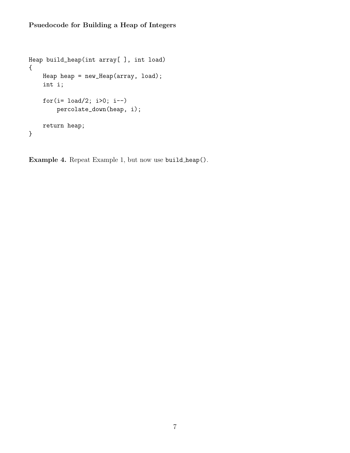### Psuedocode for Building a Heap of Integers

```
Heap build_heap(int array[ ], int load)
{
    Heap heap = new_Heap(array, load);int i;
    for(i= load/2; i>0; i--)
        percolate_down(heap, i);
    return heap;
}
```
Example 4. Repeat Example 1, but now use build heap().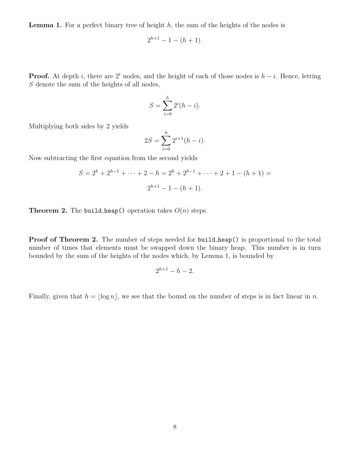**Lemma 1.** For a perfect binary tree of height  $h$ , the sum of the heights of the nodes is

$$
2^{h+1} - 1 - (h+1).
$$

**Proof.** At depth i, there are  $2^i$  nodes, and the height of each of those nodes is  $h - i$ . Hence, letting S denote the sum of the heights of all nodes,

$$
S = \sum_{i=0}^{h} 2^i (h - i).
$$

Multiplying both sides by 2 yields

$$
2S = \sum_{i=0}^{h} 2^{i+1}(h-i).
$$

Now subtracting the first equation from the second yields

$$
S = 2h + 2h-1 + \dots + 2 - h = 2h + 2h-1 + \dots + 2 + 1 - (h + 1) =
$$
  

$$
2h+1 - 1 - (h + 1).
$$

**Theorem 2.** The build heap() operation takes  $O(n)$  steps.

Proof of Theorem 2. The number of steps needed for build heap() is proportional to the total number of times that elements must be swapped down the binary heap. This number is in turn bounded by the sum of the heights of the nodes which, by Lemma 1, is bounded by

$$
2^{h+1}-h-2.
$$

Finally, given that  $h = |\log n|$ , we see that the bound on the number of steps is in fact linear in n.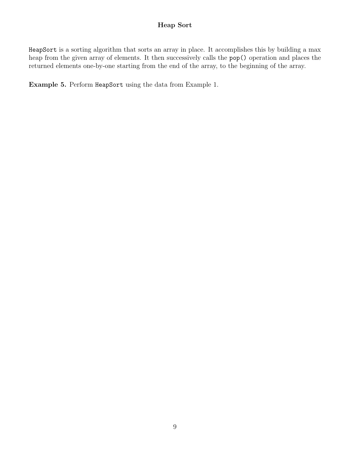#### Heap Sort

HeapSort is a sorting algorithm that sorts an array in place. It accomplishes this by building a max heap from the given array of elements. It then successively calls the pop() operation and places the returned elements one-by-one starting from the end of the array, to the beginning of the array.

Example 5. Perform HeapSort using the data from Example 1.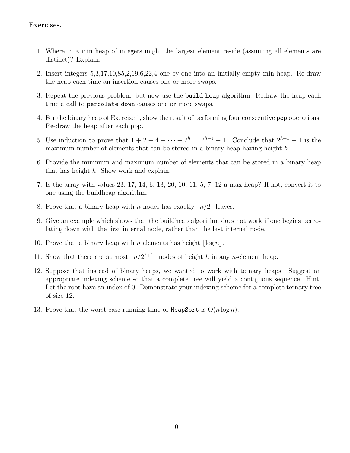#### Exercises.

- 1. Where in a min heap of integers might the largest element reside (assuming all elements are distinct)? Explain.
- 2. Insert integers 5,3,17,10,85,2,19,6,22,4 one-by-one into an initially-empty min heap. Re-draw the heap each time an insertion causes one or more swaps.
- 3. Repeat the previous problem, but now use the build heap algorithm. Redraw the heap each time a call to percolate down causes one or more swaps.
- 4. For the binary heap of Exercise 1, show the result of performing four consecutive pop operations. Re-draw the heap after each pop.
- 5. Use induction to prove that  $1 + 2 + 4 + \cdots + 2^h = 2^{h+1} 1$ . Conclude that  $2^{h+1} 1$  is the maximum number of elements that can be stored in a binary heap having height h.
- 6. Provide the minimum and maximum number of elements that can be stored in a binary heap that has height h. Show work and explain.
- 7. Is the array with values 23, 17, 14, 6, 13, 20, 10, 11, 5, 7, 12 a max-heap? If not, convert it to one using the buildheap algorithm.
- 8. Prove that a binary heap with n nodes has exactly  $\lceil n/2 \rceil$  leaves.
- 9. Give an example which shows that the buildheap algorithm does not work if one begins percolating down with the first internal node, rather than the last internal node.
- 10. Prove that a binary heap with n elements has height  $\lfloor \log n \rfloor$ .
- 11. Show that there are at most  $\lceil n/2^{h+1} \rceil$  nodes of height h in any n-element heap.
- 12. Suppose that instead of binary heaps, we wanted to work with ternary heaps. Suggest an appropriate indexing scheme so that a complete tree will yield a contiguous sequence. Hint: Let the root have an index of 0. Demonstrate your indexing scheme for a complete ternary tree of size 12.
- 13. Prove that the worst-case running time of HeapSort is  $O(n \log n)$ .